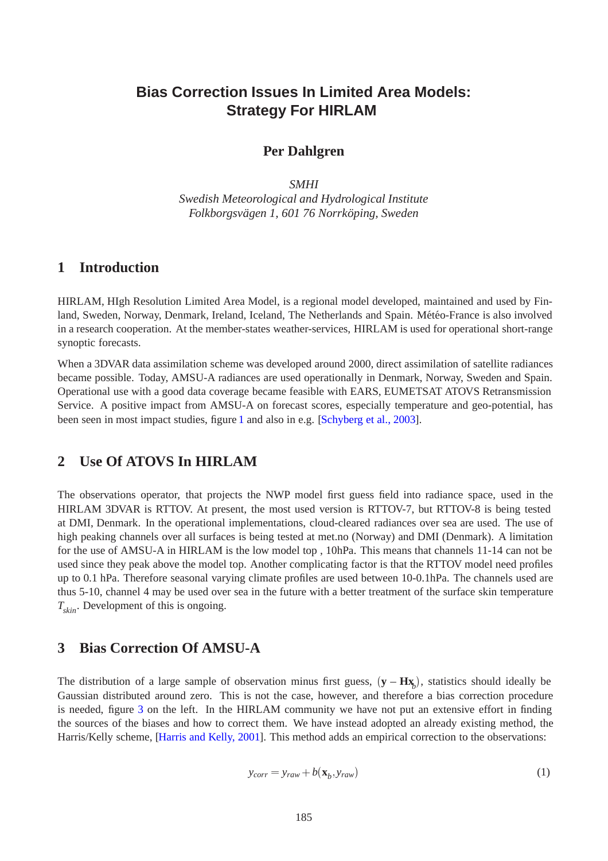# **Bias Correction Issues In Limited Area Models: Strategy For HIRLAM**

### **Per Dahlgren**

*SMHI Swedish Meteorological and Hydrological Institute Folkborgsvägen 1, 601 76 Norrköping, Sweden* 

## **1 Introduction**

HIRLAM, HIgh Resolution Limited Area Model, is a regional model developed, maintained and used by Finland, Sweden, Norway, Denmark, Ireland, Iceland, The Netherlands and Spain. Météo-France is also involved in a research cooperation. At the member-states weather-services, HIRLAM is used for operational short-range synoptic forecasts.

When a 3DVAR data assimilation scheme was developed around 2000, direct assimilation of satellite radiances became possible. Today, AMSU-A radiances are used operationally in Denmark, Norway, Sweden and Spain. Operational use with a good data coverage became feasible with EARS, EUMETSAT ATOVS Retransmission Service. A positive impact from AMSU-A on forecast scores, especially temperature and geo-potential, has been seen in most impact studies, figure [1](#page-1-0) and also in e.g. [\[Schyberg et al., 2003\]](#page-5-0).

## **2 Use Of ATOVS In HIRLAM**

The observations operator, that projects the NWP model first guess field into radiance space, used in the HIRLAM 3DVAR is RTTOV. At present, the most used version is RTTOV-7, but RTTOV-8 is being tested at DMI, Denmark. In the operational implementations, cloud-cleared radiances over sea are used. The use of high peaking channels over all surfaces is being tested at met.no (Norway) and DMI (Denmark). A limitation for the use of AMSU-A in HIRLAM is the low model top , 10hPa. This means that channels 11-14 can not be used since they peak above the model top. Another complicating factor is that the RTTOV model need profiles up to 0.1 hPa. Therefore seasonal varying climate profiles are used between 10-0.1hPa. The channels used are thus 5-10, channel 4 may be used over sea in the future with a better treatment of the surface skin temperature *Tskin*. Development of this is ongoing.

### **3 Bias Correction Of AMSU-A**

The distribution of a large sample of observation minus first guess,  $(\mathbf{y} - \mathbf{H}\mathbf{x}_b)$ , statistics should ideally be Gaussian distributed around zero. This is not the case, however, and therefore a bias correction procedure is needed, figure [3](#page-3-0) on the left. In the HIRLAM community we have not put an extensive effort in finding the sources of the biases and how to correct them. We have instead adopted an already existing method, the Harris/Kelly scheme, [\[Harris and Kelly, 2001\]](#page-5-1). This method adds an empirical correction to the observations:

$$
y_{corr} = y_{raw} + b(\mathbf{x}_b, y_{raw})
$$
 (1)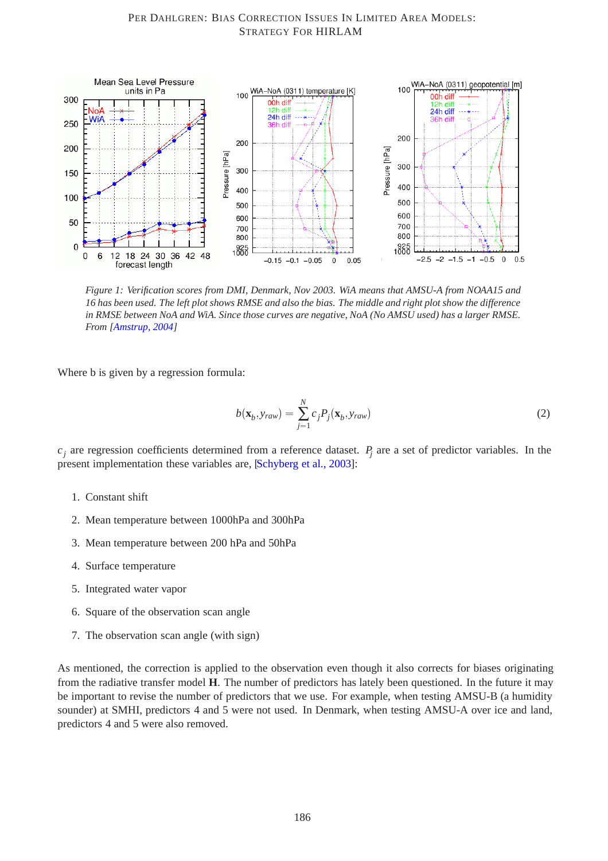

<span id="page-1-0"></span>*Figure 1: Verification scores from DMI, Denmark, Nov 2003. WiA means that AMSU-A from NOAA15 and 16 has been used. The left plot shows RMSE and also the bias. The middle and right plot show the difference in RMSE between NoA and WiA. Since those curves are negative, NoA (No AMSU used) has a larger RMSE. From [\[Amstrup, 2004\]](#page-5-2)*

Where b is given by a regression formula:

$$
b(\mathbf{x}_b, y_{raw}) = \sum_{j=1}^{N} c_j P_j(\mathbf{x}_b, y_{raw})
$$
 (2)

 $c_j$  are regression coefficients determined from a reference dataset.  $P_j$  are a set of predictor variables. In the present implementation these variables are, [\[Schyberg et al., 2003\]](#page-5-0):

- 1. Constant shift
- 2. Mean temperature between 1000hPa and 300hPa
- 3. Mean temperature between 200 hPa and 50hPa
- 4. Surface temperature
- 5. Integrated water vapor
- 6. Square of the observation scan angle
- 7. The observation scan angle (with sign)

As mentioned, the correction is applied to the observation even though it also corrects for biases originating from the radiative transfer model **H**. The number of predictors has lately been questioned. In the future it may be important to revise the number of predictors that we use. For example, when testing AMSU-B (a humidity sounder) at SMHI, predictors 4 and 5 were not used. In Denmark, when testing AMSU-A over ice and land, predictors 4 and 5 were also removed.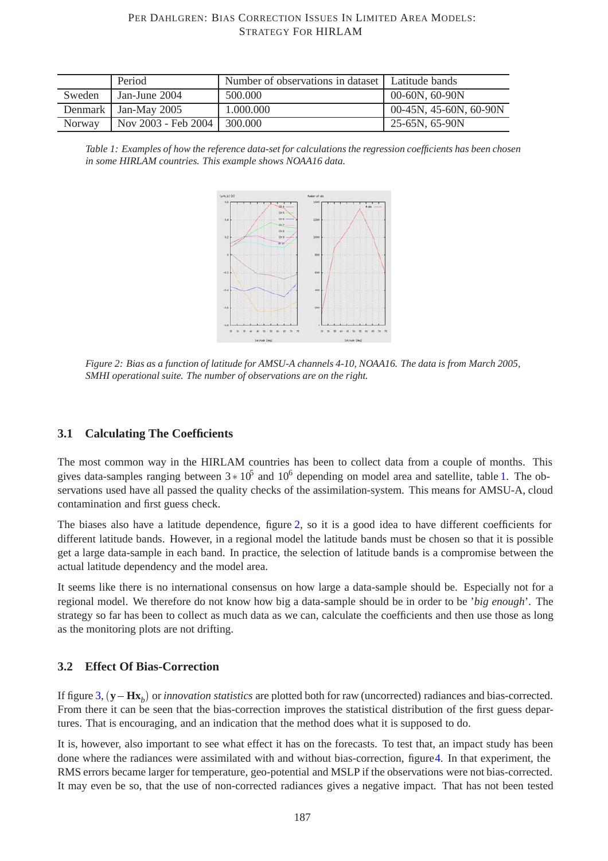#### PER DAHLGREN: BIAS CORRECTION ISSUES IN LIMITED AREA MODELS: STRATEGY FOR HIRLAM

|               | Period                 | Number of observations in dataset   Latitude bands |                           |
|---------------|------------------------|----------------------------------------------------|---------------------------|
| Sweden        | Jan-June 2004          | 500,000                                            | $00-60N, 60-90N$          |
|               | Denmark   Jan-May 2005 | 1.000.000                                          | $00-45N$ , 45-60N, 60-90N |
| <b>Norway</b> | Nov 2003 - Feb 2004    | 300.000                                            | 25-65N, 65-90N            |

<span id="page-2-0"></span>*Table 1: Examples of how the reference data-set for calculations the regression coefficients has been chosen in some HIRLAM countries. This example shows NOAA16 data.*



<span id="page-2-1"></span>*Figure 2: Bias as a function of latitude for AMSU-A channels 4-10, NOAA16. The data is from March 2005, SMHI operational suite. The number of observations are on the right.*

### **3.1 Calculating The Coefficients**

The most common way in the HIRLAM countries has been to collect data from a couple of months. This gives data-samples ranging between  $3 \times 10^5$  and  $10^6$  depending on model area and satellite, table [1.](#page-2-0) The observations used have all passed the quality checks of the assimilation-system. This means for AMSU-A, cloud contamination and first guess check.

The biases also have a latitude dependence, figure [2,](#page-2-1) so it is a good idea to have different coefficients for different latitude bands. However, in a regional model the latitude bands must be chosen so that it is possible get a large data-sample in each band. In practice, the selection of latitude bands is a compromise between the actual latitude dependency and the model area.

It seems like there is no international consensus on how large a data-sample should be. Especially not for a regional model. We therefore do not know how big a data-sample should be in order to be '*big enough*'. The strategy so far has been to collect as much data as we can, calculate the coefficients and then use those as long as the monitoring plots are not drifting.

#### **3.2 Effect Of Bias-Correction**

If figure [3,](#page-3-0)  $(\mathbf{y} - \mathbf{Hx}_b)$  or *innovation statistics* are plotted both for raw (uncorrected) radiances and bias-corrected. From there it can be seen that the bias-correction improves the statistical distribution of the first guess departures. That is encouraging, and an indication that the method does what it is supposed to do.

It is, however, also important to see what effect it has on the forecasts. To test that, an impact study has been done where the radiances were assimilated with and without bias-correction, figure[4.](#page-4-0) In that experiment, the RMS errors became larger for temperature, geo-potential and MSLP if the observations were not bias-corrected. It may even be so, that the use of non-corrected radiances gives a negative impact. That has not been tested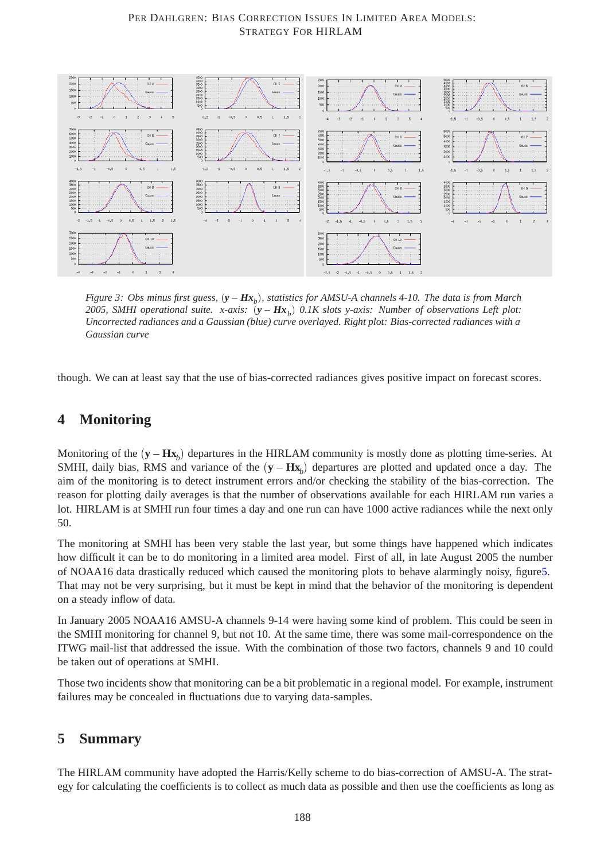#### PER DAHLGREN: BIAS CORRECTION ISSUES IN LIMITED AREA MODELS: STRATEGY FOR HIRLAM



<span id="page-3-0"></span>*Figure 3: Obs minus first guess,*  $(y - Hx<sub>b</sub>)$ *, statistics for AMSU-A channels 4-10. The data is from March* 2005, SMHI operational suite. x-axis:  $(y - Hx_b)$  0.1K slots y-axis: Number of observations Left plot: *Uncorrected radiances and a Gaussian (blue) curve overlayed. Right plot: Bias-corrected radiances with a Gaussian curve*

though. We can at least say that the use of bias-corrected radiances gives positive impact on forecast scores.

## **4 Monitoring**

Monitoring of the  $(\mathbf{y} - \mathbf{H}\mathbf{x}_b)$  departures in the HIRLAM community is mostly done as plotting time-series. At SMHI, daily bias, RMS and variance of the  $(\mathbf{y} - \mathbf{H}\mathbf{x}_b)$  departures are plotted and updated once a day. The aim of the monitoring is to detect instrument errors and/or checking the stability of the bias-correction. The reason for plotting daily averages is that the number of observations available for each HIRLAM run varies a lot. HIRLAM is at SMHI run four times a day and one run can have 1000 active radiances while the next only 50.

The monitoring at SMHI has been very stable the last year, but some things have happened which indicates how difficult it can be to do monitoring in a limited area model. First of all, in late August 2005 the number of NOAA16 data drastically reduced which caused the monitoring plots to behave alarmingly noisy, figur[e5.](#page-4-1) That may not be very surprising, but it must be kept in mind that the behavior of the monitoring is dependent on a steady inflow of data.

In January 2005 NOAA16 AMSU-A channels 9-14 were having some kind of problem. This could be seen in the SMHI monitoring for channel 9, but not 10. At the same time, there was some mail-correspondence on the ITWG mail-list that addressed the issue. With the combination of those two factors, channels 9 and 10 could be taken out of operations at SMHI.

Those two incidents show that monitoring can be a bit problematic in a regional model. For example, instrument failures may be concealed in fluctuations due to varying data-samples.

## **5 Summary**

The HIRLAM community have adopted the Harris/Kelly scheme to do bias-correction of AMSU-A. The strategy for calculating the coefficients is to collect as much data as possible and then use the coefficients as long as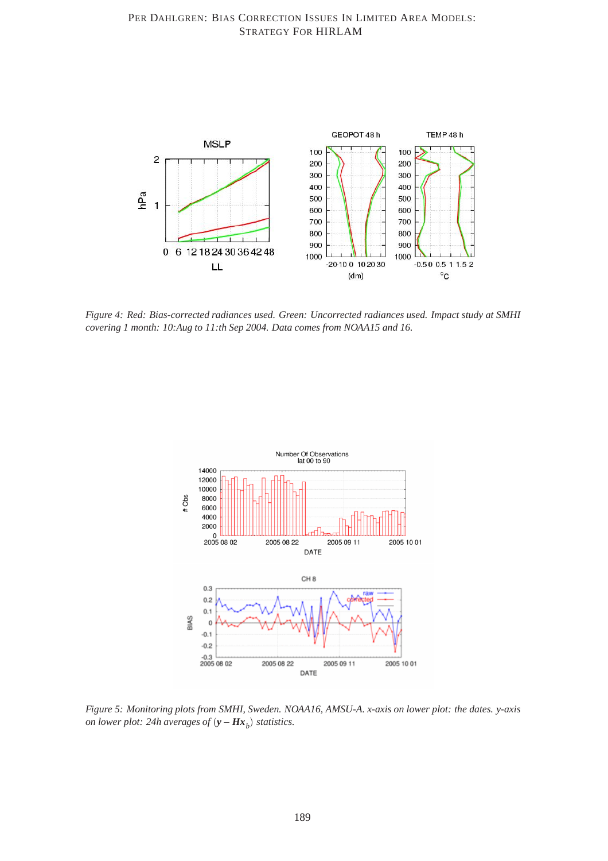

<span id="page-4-0"></span>*Figure 4: Red: Bias-corrected radiances used. Green: Uncorrected radiances used. Impact study at SMHI covering 1 month: 10:Aug to 11:th Sep 2004. Data comes from NOAA15 and 16.*



<span id="page-4-1"></span>*Figure 5: Monitoring plots from SMHI, Sweden. NOAA16, AMSU-A. x-axis on lower plot: the dates. y-axis on lower plot: 24h averages of*  $(y - Hx_b)$  *statistics.*